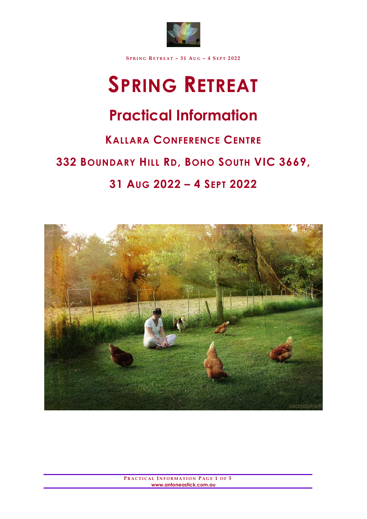

**SPRING RETREAT – 3 1 AU G – 4 SEPT 2 0 2 2**

# **SPRING RETREAT**

## **Practical Information**

# **KALLARA CONFERENCE CENTRE 332 BOUNDARY HILL RD, BOHO SOUTH VIC 3669, 31 AUG 2022 – 4 SEPT 2022**



**P RACTICAL I NFORMATION P AGE 1 O F 5 www.antoneastick.com.au**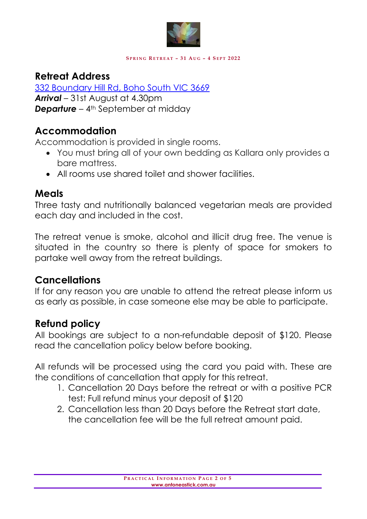

## **Retreat Address**

[332 Boundary Hill Rd, Boho South VIC 3669](https://goo.gl/maps/Z6a9wZxpVQ6fyR2b9) *Arrival* – 31st August at 4.30pm **Departure** – 4<sup>th</sup> September at midday

## **Accommodation**

Accommodation is provided in single rooms.

- You must bring all of your own bedding as Kallara only provides a bare mattress.
- All rooms use shared toilet and shower facilities.

## **Meals**

Three tasty and nutritionally balanced vegetarian meals are provided each day and included in the cost.

The retreat venue is smoke, alcohol and illicit drug free. The venue is situated in the country so there is plenty of space for smokers to partake well away from the retreat buildings.

## **Cancellations**

If for any reason you are unable to attend the retreat please inform us as early as possible, in case someone else may be able to participate.

## **Refund policy**

All bookings are subject to a non-refundable deposit of \$120. Please read the cancellation policy below before booking.

All refunds will be processed using the card you paid with. These are the conditions of cancellation that apply for this retreat.

- 1. Cancellation 20 Days before the retreat or with a positive PCR test: Full refund minus your deposit of \$120
- 2. Cancellation less than 20 Days before the Retreat start date, the cancellation fee will be the full retreat amount paid.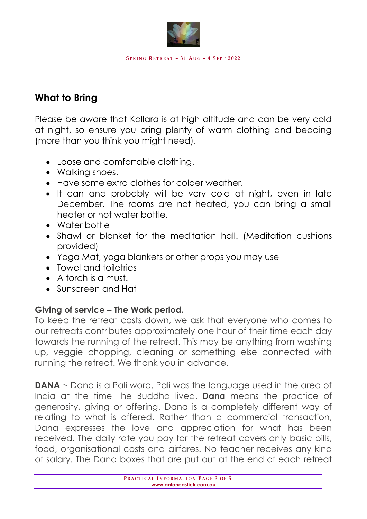

## **What to Bring**

Please be aware that Kallara is at high altitude and can be very cold at night, so ensure you bring plenty of warm clothing and bedding (more than you think you might need).

- Loose and comfortable clothing.
- Walking shoes.
- Have some extra clothes for colder weather.
- It can and probably will be very cold at night, even in late December. The rooms are not heated, you can bring a small heater or hot water bottle.
- Water bottle
- Shawl or blanket for the meditation hall. (Meditation cushions provided)
- Yoga Mat, yoga blankets or other props you may use
- Towel and toiletries
- A torch is a must.
- Sunscreen and Hat

## **Giving of service – The Work period.**

To keep the retreat costs down, we ask that everyone who comes to our retreats contributes approximately one hour of their time each day towards the running of the retreat. This may be anything from washing up, veggie chopping, cleaning or something else connected with running the retreat. We thank you in advance.

**DANA** ~ Dana is a Pali word. Pali was the language used in the area of India at the time The Buddha lived. **Dana** means the practice of generosity, giving or offering. Dana is a completely different way of relating to what is offered. Rather than a commercial transaction, Dana expresses the love and appreciation for what has been received. The daily rate you pay for the retreat covers only basic bills, food, organisational costs and airfares. No teacher receives any kind of salary. The Dana boxes that are put out at the end of each retreat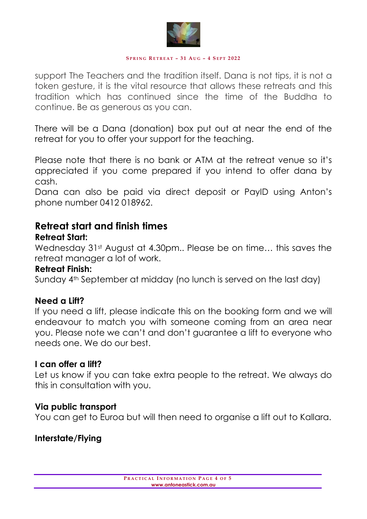

#### **SPRING RETREAT – 3 1 AU G – 4 SEPT 2 0 2 2**

support The Teachers and the tradition itself. Dana is not tips, it is not a token gesture, it is the vital resource that allows these retreats and this tradition which has continued since the time of the Buddha to continue. Be as generous as you can.

There will be a Dana (donation) box put out at near the end of the retreat for you to offer your support for the teaching.

Please note that there is no bank or ATM at the retreat venue so it's appreciated if you come prepared if you intend to offer dana by cash.

Dana can also be paid via direct deposit or PayID using Anton's phone number 0412 018962.

## **Retreat start and finish times**

## **Retreat Start:**

Wednesday 31st August at 4.30pm.. Please be on time... this saves the retreat manager a lot of work.

### **Retreat Finish:**

Sunday 4th September at midday (no lunch is served on the last day)

## **Need a Lift?**

If you need a lift, please indicate this on the booking form and we will endeavour to match you with someone coming from an area near you. Please note we can't and don't guarantee a lift to everyone who needs one. We do our best.

### **I can offer a lift?**

Let us know if you can take extra people to the retreat. We always do this in consultation with you.

### **Via public transport**

You can get to Euroa but will then need to organise a lift out to Kallara.

### **Interstate/Flying**

**P RACTICAL I NFORMATION P AGE 4 O F 5 www.antoneastick.com.au**